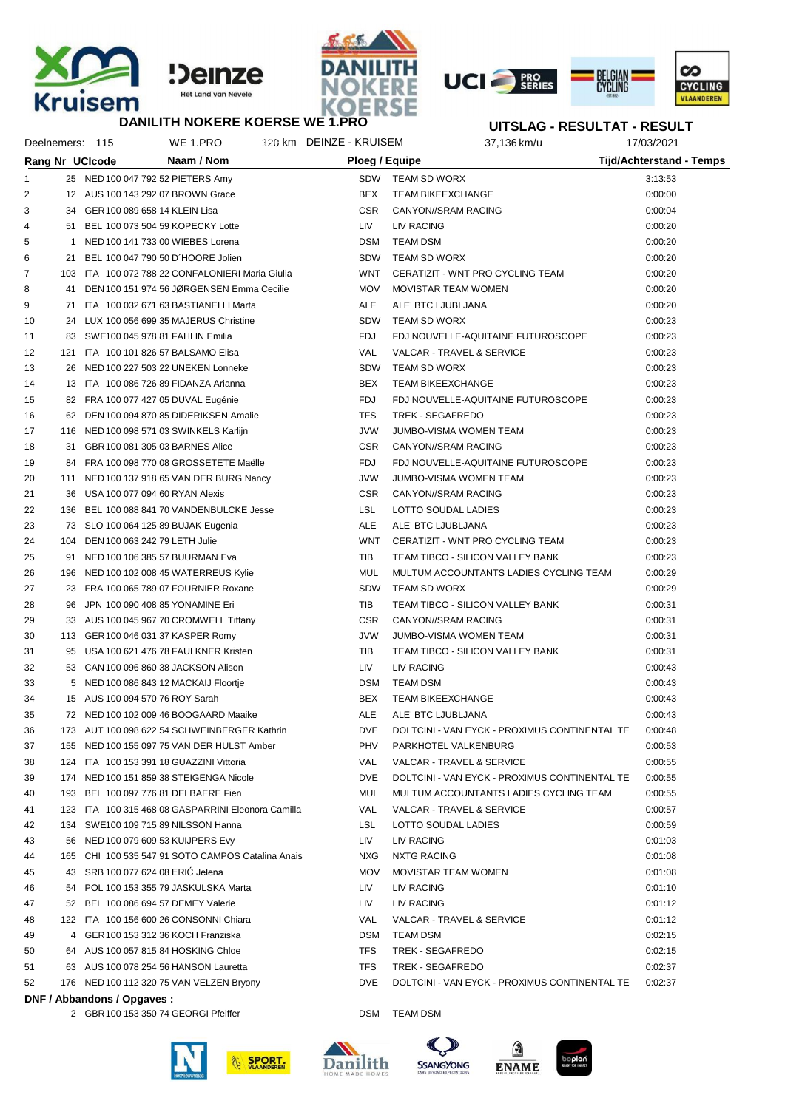







## **UITSLAG - RESULTAT - RESULT**

|    | Deelnemers: 115 |                             | WE 1.PRO                                           | 120 km DEINZE - KRUISEM | 37,136 km/u                                   | 17/03/2021                      |  |
|----|-----------------|-----------------------------|----------------------------------------------------|-------------------------|-----------------------------------------------|---------------------------------|--|
|    |                 | Rang Nr UCIcode             | Naam / Nom                                         | Ploeg / Equipe          |                                               | <b>Tijd/Achterstand - Temps</b> |  |
| 1  |                 |                             | 25 NED 100 047 792 52 PIETERS Amy                  |                         | SDW TEAM SD WORX                              | 3:13:53                         |  |
| 2  |                 |                             | 12 AUS 100 143 292 07 BROWN Grace                  | <b>BEX</b>              | <b>TEAM BIKEEXCHANGE</b>                      | 0:00:00                         |  |
| 3  |                 |                             | 34 GER 100 089 658 14 KLEIN Lisa                   | <b>CSR</b>              | CANYON//SRAM RACING                           | 0:00:04                         |  |
| 4  |                 |                             | 51 BEL 100 073 504 59 KOPECKY Lotte                | LIV.                    | LIV RACING                                    | 0:00:20                         |  |
| 5  |                 |                             | 1 NED 100 141 733 00 WIEBES Lorena                 | DSM                     | TEAM DSM                                      | 0:00:20                         |  |
| 6  |                 |                             | 21 BEL 100 047 790 50 D'HOORE Jolien               | SDW                     | TEAM SD WORX                                  | 0:00:20                         |  |
| 7  |                 |                             | 103 ITA 100 072 788 22 CONFALONIERI Maria Giulia   | WNT                     | CERATIZIT - WNT PRO CYCLING TEAM              | 0:00:20                         |  |
| 8  |                 |                             | 41 DEN 100 151 974 56 JØRGENSEN Emma Cecilie       | <b>MOV</b>              | MOVISTAR TEAM WOMEN                           | 0:00:20                         |  |
| 9  |                 |                             | 71 ITA 100 032 671 63 BASTIANELLI Marta            | ALE                     | ALE' BTC LJUBLJANA                            | 0:00:20                         |  |
| 10 |                 |                             | 24 LUX 100 056 699 35 MAJERUS Christine            | <b>SDW</b>              | TEAM SD WORX                                  | 0:00:23                         |  |
| 11 |                 |                             | 83 SWE100 045 978 81 FAHLIN Emilia                 | FDJ                     | FDJ NOUVELLE-AQUITAINE FUTUROSCOPE            | 0:00:23                         |  |
| 12 |                 |                             | 121 ITA 100 101 826 57 BALSAMO Elisa               | <b>VAL</b>              | VALCAR - TRAVEL & SERVICE                     | 0:00:23                         |  |
| 13 |                 |                             | 26 NED 100 227 503 22 UNEKEN Lonneke               | SDW                     | TEAM SD WORX                                  | 0:00:23                         |  |
| 14 |                 |                             | 13 ITA 100 086 726 89 FIDANZA Arianna              | BEX                     | <b>TEAM BIKEEXCHANGE</b>                      | 0:00:23                         |  |
| 15 |                 |                             | 82 FRA 100 077 427 05 DUVAL Eugénie                | FDJ                     | FDJ NOUVELLE-AQUITAINE FUTUROSCOPE            | 0:00:23                         |  |
| 16 |                 |                             | 62 DEN 100 094 870 85 DIDERIKSEN Amalie            | <b>TFS</b>              | TREK - SEGAFREDO                              | 0:00:23                         |  |
| 17 |                 |                             | 116 NED 100 098 571 03 SWINKELS Karlijn            | <b>JVW</b>              | JUMBO-VISMA WOMEN TEAM                        | 0:00:23                         |  |
| 18 |                 |                             | 31 GBR 100 081 305 03 BARNES Alice                 | <b>CSR</b>              | <b>CANYON//SRAM RACING</b>                    | 0:00:23                         |  |
| 19 |                 |                             | 84 FRA 100 098 770 08 GROSSETETE Maëlle            | <b>FDJ</b>              | FDJ NOUVELLE-AQUITAINE FUTUROSCOPE            | 0:00:23                         |  |
| 20 |                 |                             | 111 NED 100 137 918 65 VAN DER BURG Nancy          | <b>JVW</b>              | JUMBO-VISMA WOMEN TEAM                        | 0:00:23                         |  |
| 21 |                 |                             | 36 USA 100 077 094 60 RYAN Alexis                  | <b>CSR</b>              | CANYON//SRAM RACING                           | 0:00:23                         |  |
| 22 |                 |                             | 136 BEL 100 088 841 70 VANDENBULCKE Jesse          | <b>LSL</b>              | LOTTO SOUDAL LADIES                           | 0:00:23                         |  |
| 23 |                 |                             | 73 SLO 100 064 125 89 BUJAK Eugenia                | ALE                     | ALE' BTC LJUBLJANA                            | 0:00:23                         |  |
| 24 |                 |                             | 104 DEN 100 063 242 79 LETH Julie                  | WNT                     | CERATIZIT - WNT PRO CYCLING TEAM              | 0:00:23                         |  |
| 25 |                 |                             | 91 NED 100 106 385 57 BUURMAN Eva                  | TIB                     | TEAM TIBCO - SILICON VALLEY BANK              | 0:00:23                         |  |
| 26 |                 |                             | 196 NED 100 102 008 45 WATERREUS Kylie             | MUL                     | MULTUM ACCOUNTANTS LADIES CYCLING TEAM        | 0:00:29                         |  |
| 27 |                 |                             | 23 FRA 100 065 789 07 FOURNIER Roxane              | SDW                     | TEAM SD WORX                                  | 0:00:29                         |  |
| 28 |                 |                             | 96 JPN 100 090 408 85 YONAMINE Eri                 | TIB                     | TEAM TIBCO - SILICON VALLEY BANK              | 0:00:31                         |  |
| 29 |                 |                             | 33 AUS 100 045 967 70 CROMWELL Tiffany             | <b>CSR</b>              | CANYON//SRAM RACING                           | 0:00:31                         |  |
| 30 |                 |                             | 113 GER 100 046 031 37 KASPER Romy                 | <b>JVW</b>              | JUMBO-VISMA WOMEN TEAM                        | 0:00:31                         |  |
| 31 |                 |                             | 95 USA 100 621 476 78 FAULKNER Kristen             | TIB                     | TEAM TIBCO - SILICON VALLEY BANK              | 0:00:31                         |  |
| 32 |                 |                             | 53 CAN 100 096 860 38 JACKSON Alison               | LIV                     | LIV RACING                                    | 0:00:43                         |  |
| 33 |                 |                             | 5 NED 100 086 843 12 MACKAIJ Floortje              | <b>DSM</b>              | <b>TEAM DSM</b>                               | 0:00:43                         |  |
| 34 |                 |                             | 15 AUS 100 094 570 76 ROY Sarah                    | BEX                     | <b>TEAM BIKEEXCHANGE</b>                      | 0:00:43                         |  |
| 35 |                 |                             | 72 NED 100 102 009 46 BOOGAARD Maaike              | <b>ALE</b>              | ALE' BTC LJUBLJANA                            | 0:00:43                         |  |
| 36 |                 |                             | 173 AUT 100 098 622 54 SCHWEINBERGER Kathrin       | <b>DVE</b>              | DOLTCINI - VAN EYCK - PROXIMUS CONTINENTAL TE | 0:00:48                         |  |
| 37 |                 |                             | 155 NED 100 155 097 75 VAN DER HULST Amber         | PHV                     | PARKHOTEL VALKENBURG                          | 0:00:53                         |  |
| 38 |                 |                             | 124 ITA 100 153 391 18 GUAZZINI Vittoria           | VAL                     | VALCAR - TRAVEL & SERVICE                     | 0:00:55                         |  |
| 39 |                 |                             | 174 NED 100 151 859 38 STEIGENGA Nicole            | <b>DVE</b>              | DOLTCINI - VAN EYCK - PROXIMUS CONTINENTAL TE | 0:00:55                         |  |
| 40 |                 |                             | 193 BEL 100 097 776 81 DELBAERE Fien               | MUL                     | MULTUM ACCOUNTANTS LADIES CYCLING TEAM        | 0:00:55                         |  |
| 41 |                 |                             | 123 ITA 100 315 468 08 GASPARRINI Eleonora Camilla | VAL                     | VALCAR - TRAVEL & SERVICE                     | 0:00:57                         |  |
| 42 |                 |                             | 134 SWE100 109 715 89 NILSSON Hanna                | LSL                     | LOTTO SOUDAL LADIES                           | 0:00:59                         |  |
| 43 |                 |                             | 56 NED 100 079 609 53 KUIJPERS Evy                 | LIV                     | LIV RACING                                    | 0:01:03                         |  |
| 44 |                 |                             | 165 CHI 100 535 547 91 SOTO CAMPOS Catalina Anais  | <b>NXG</b>              | <b>NXTG RACING</b>                            | 0:01:08                         |  |
| 45 |                 |                             | 43 SRB 100 077 624 08 ERIC Jelena                  | <b>MOV</b>              | MOVISTAR TEAM WOMEN                           | 0:01:08                         |  |
| 46 |                 |                             | 54 POL 100 153 355 79 JASKULSKA Marta              | LIV                     | LIV RACING                                    | 0:01:10                         |  |
| 47 |                 |                             | 52 BEL 100 086 694 57 DEMEY Valerie                | LIV                     | LIV RACING                                    | 0:01:12                         |  |
| 48 |                 |                             | 122 ITA 100 156 600 26 CONSONNI Chiara             | VAL                     | VALCAR - TRAVEL & SERVICE                     | 0:01:12                         |  |
| 49 |                 |                             | 4 GER 100 153 312 36 KOCH Franziska                | <b>DSM</b>              | <b>TEAM DSM</b>                               | 0:02:15                         |  |
| 50 |                 |                             | 64 AUS 100 057 815 84 HOSKING Chloe                | <b>TFS</b>              | TREK - SEGAFREDO                              | 0:02:15                         |  |
| 51 |                 |                             | 63 AUS 100 078 254 56 HANSON Lauretta              | <b>TFS</b>              | TREK - SEGAFREDO                              | 0:02:37                         |  |
| 52 |                 |                             | 176 NED 100 112 320 75 VAN VELZEN Bryony           | <b>DVE</b>              | DOLTCINI - VAN EYCK - PROXIMUS CONTINENTAL TE | 0:02:37                         |  |
|    |                 | DNF / Abbandons / Opgaves : |                                                    |                         |                                               |                                 |  |

2 GBR100 153 350 74 GEORGI Pfeiffer DSM DSM TEAM DSM





**SSANGYONG** 



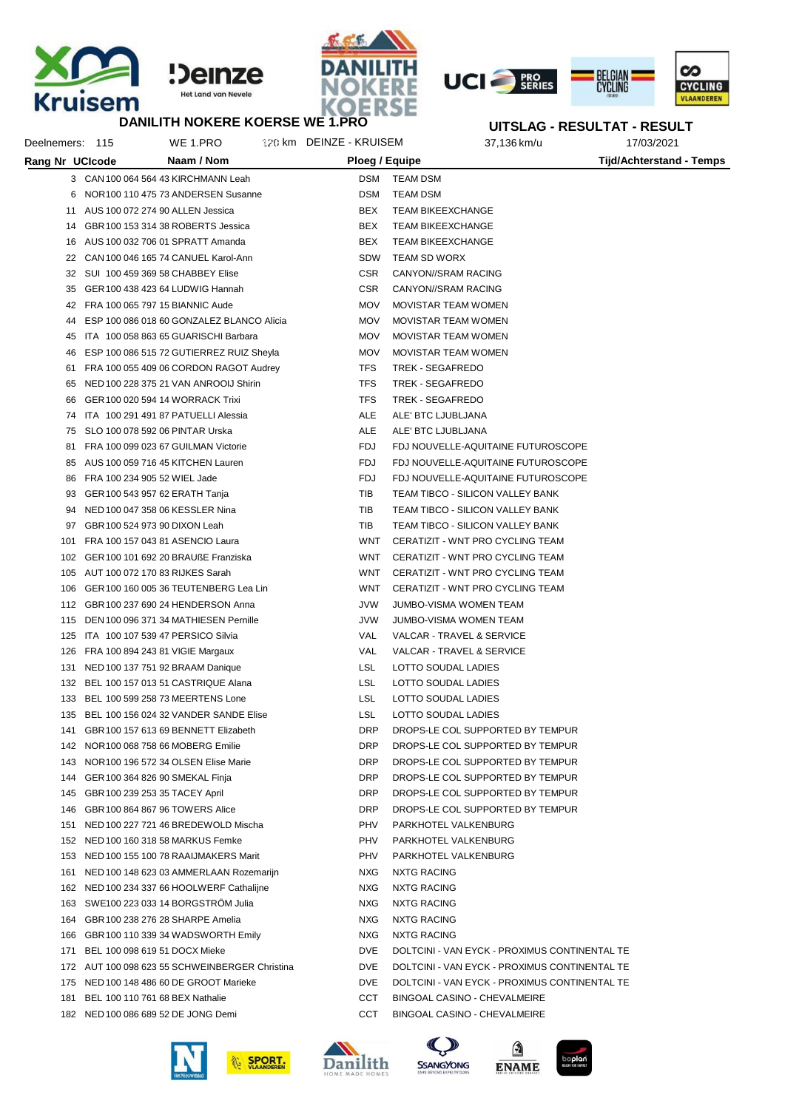







## **M**<br>DANILITH NOKERE KOERSE WE 1.PRO

|                 | <b>DANILITH NOKERE KOERSE WE 1.PRO</b>         |                         |                                               |             | UITSLAG - RESULTAT - RESULT |
|-----------------|------------------------------------------------|-------------------------|-----------------------------------------------|-------------|-----------------------------|
| Deelnemers: 115 | WE 1.PRO                                       | 120 km DEINZE - KRUISEM |                                               | 37,136 km/u | 17/03/2021                  |
| Rang Nr UCIcode | Naam / Nom                                     | Ploeg / Equipe          |                                               |             | Tijd/Achterstand - Temps    |
|                 | 3 CAN 100 064 564 43 KIRCHMANN Leah            | DSM                     | <b>TEAM DSM</b>                               |             |                             |
|                 | 6 NOR 100 110 475 73 ANDERSEN Susanne          | <b>DSM</b>              | TEAM DSM                                      |             |                             |
|                 | 11 AUS 100 072 274 90 ALLEN Jessica            | BEX                     | <b>TEAM BIKEEXCHANGE</b>                      |             |                             |
| 14              | GBR 100 153 314 38 ROBERTS Jessica             | BEX                     | <b>TEAM BIKEEXCHANGE</b>                      |             |                             |
|                 | 16 AUS 100 032 706 01 SPRATT Amanda            | BEX                     | <b>TEAM BIKEEXCHANGE</b>                      |             |                             |
|                 | 22 CAN 100 046 165 74 CANUEL Karol-Ann         | SDW                     | TEAM SD WORX                                  |             |                             |
|                 | 32 SUI 100 459 369 58 CHABBEY Elise            | CSR.                    | CANYON//SRAM RACING                           |             |                             |
| 35              | GER 100 438 423 64 LUDWIG Hannah               | CSR.                    | CANYON//SRAM RACING                           |             |                             |
| 42              | FRA 100 065 797 15 BIANNIC Aude                | <b>MOV</b>              | <b>MOVISTAR TEAM WOMEN</b>                    |             |                             |
| 44              | ESP 100 086 018 60 GONZALEZ BLANCO Alicia      | <b>MOV</b>              | MOVISTAR TEAM WOMEN                           |             |                             |
| 45              | ITA 100 058 863 65 GUARISCHI Barbara           | <b>MOV</b>              | MOVISTAR TEAM WOMEN                           |             |                             |
| 46              | ESP 100 086 515 72 GUTIERREZ RUIZ Sheyla       | <b>MOV</b>              | MOVISTAR TEAM WOMEN                           |             |                             |
| 61              | FRA 100 055 409 06 CORDON RAGOT Audrey         | <b>TFS</b>              | TREK - SEGAFREDO                              |             |                             |
| 65              | NED 100 228 375 21 VAN ANROOIJ Shirin          | TFS                     | TREK - SEGAFREDO                              |             |                             |
| 66              | GER 100 020 594 14 WORRACK Trixi               | <b>TFS</b>              | TREK - SEGAFREDO                              |             |                             |
| 74              | ITA 100 291 491 87 PATUELLI Alessia            | ALE                     | ALE' BTC LJUBLJANA                            |             |                             |
| 75              | SLO 100 078 592 06 PINTAR Urska                | ALE                     | ALE' BTC LJUBLJANA                            |             |                             |
| 81              | FRA 100 099 023 67 GUILMAN Victorie            | <b>FDJ</b>              | FDJ NOUVELLE-AQUITAINE FUTUROSCOPE            |             |                             |
| 85              | AUS 100 059 716 45 KITCHEN Lauren              | FDJ                     | FDJ NOUVELLE-AQUITAINE FUTUROSCOPE            |             |                             |
| 86              | FRA 100 234 905 52 WIEL Jade                   | FDJ                     | FDJ NOUVELLE-AQUITAINE FUTUROSCOPE            |             |                             |
| 93              | GER 100 543 957 62 ERATH Tanja                 | TIB                     | TEAM TIBCO - SILICON VALLEY BANK              |             |                             |
| 94              | NED 100 047 358 06 KESSLER Nina                | TIB                     | TEAM TIBCO - SILICON VALLEY BANK              |             |                             |
| 97              | GBR 100 524 973 90 DIXON Leah                  | TIB                     | TEAM TIBCO - SILICON VALLEY BANK              |             |                             |
| 101             | FRA 100 157 043 81 ASENCIO Laura               | WNT                     | CERATIZIT - WNT PRO CYCLING TEAM              |             |                             |
|                 | 102 GER 100 101 692 20 BRAUßE Franziska        | WNT                     | CERATIZIT - WNT PRO CYCLING TEAM              |             |                             |
|                 | 105 AUT 100 072 170 83 RIJKES Sarah            | WNT                     | CERATIZIT - WNT PRO CYCLING TEAM              |             |                             |
|                 | 106 GER 100 160 005 36 TEUTENBERG Lea Lin      | WNT                     | CERATIZIT - WNT PRO CYCLING TEAM              |             |                             |
|                 | 112 GBR 100 237 690 24 HENDERSON Anna          | JVW                     | JUMBO-VISMA WOMEN TEAM                        |             |                             |
|                 | 115 DEN 100 096 371 34 MATHIESEN Pernille      | JVW                     | JUMBO-VISMA WOMEN TEAM                        |             |                             |
|                 | 125 ITA 100 107 539 47 PERSICO Silvia          | VAL                     | VALCAR - TRAVEL & SERVICE                     |             |                             |
|                 | 126 FRA 100 894 243 81 VIGIE Margaux           | VAL                     | VALCAR - TRAVEL & SERVICE                     |             |                             |
| 131             | NED 100 137 751 92 BRAAM Danique               | LSL                     | LOTTO SOUDAL LADIES                           |             |                             |
|                 | 132 BEL 100 157 013 51 CASTRIQUE Alana         | LSL                     | LOTTO SOUDAL LADIES                           |             |                             |
|                 | 133 BEL 100 599 258 73 MEERTENS Lone           | LSL                     | LOTTO SOUDAL LADIES                           |             |                             |
|                 | 135 BEL 100 156 024 32 VANDER SANDE Elise      | LSL                     | LOTTO SOUDAL LADIES                           |             |                             |
|                 | 141 GBR 100 157 613 69 BENNETT Elizabeth       | DRP                     | DROPS-LE COL SUPPORTED BY TEMPUR              |             |                             |
|                 | 142 NOR 100 068 758 66 MOBERG Emilie           | DRP                     | DROPS-LE COL SUPPORTED BY TEMPUR              |             |                             |
|                 | 143 NOR 100 196 572 34 OLSEN Elise Marie       | DRP                     | DROPS-LE COL SUPPORTED BY TEMPUR              |             |                             |
|                 | 144 GER 100 364 826 90 SMEKAL Finja            | DRP                     | DROPS-LE COL SUPPORTED BY TEMPUR              |             |                             |
|                 | 145 GBR 100 239 253 35 TACEY April             | DRP                     | DROPS-LE COL SUPPORTED BY TEMPUR              |             |                             |
|                 | 146 GBR 100 864 867 96 TOWERS Alice            | DRP                     | DROPS-LE COL SUPPORTED BY TEMPUR              |             |                             |
|                 | 151 NED 100 227 721 46 BREDEWOLD Mischa        | PHV                     | PARKHOTEL VALKENBURG                          |             |                             |
|                 | 152 NED 100 160 318 58 MARKUS Femke            | PHV                     | PARKHOTEL VALKENBURG                          |             |                             |
|                 | 153 NED 100 155 100 78 RAAIJMAKERS Marit       | PHV                     | PARKHOTEL VALKENBURG                          |             |                             |
|                 | 161 NED 100 148 623 03 AMMERLAAN Rozemarijn    | NXG                     | NXTG RACING                                   |             |                             |
|                 | 162 NED 100 234 337 66 HOOLWERF Cathalijne     | NXG                     | NXTG RACING                                   |             |                             |
|                 | 163 SWE100 223 033 14 BORGSTROM Julia          | NXG                     | NXTG RACING                                   |             |                             |
|                 | 164 GBR 100 238 276 28 SHARPE Amelia           | NXG                     | NXTG RACING                                   |             |                             |
|                 | 166 GBR 100 110 339 34 WADSWORTH Emily         | <b>NXG</b>              | NXTG RACING                                   |             |                             |
|                 | 171 BEL 100 098 619 51 DOCX Mieke              | DVE                     | DOLTCINI - VAN EYCK - PROXIMUS CONTINENTAL TE |             |                             |
|                 | 172 AUT 100 098 623 55 SCHWEINBERGER Christina | DVE                     | DOLTCINI - VAN EYCK - PROXIMUS CONTINENTAL TE |             |                             |
|                 | 175 NED 100 148 486 60 DE GROOT Marieke        | DVE                     | DOLTCINI - VAN EYCK - PROXIMUS CONTINENTAL TE |             |                             |
|                 | 181 BEL 100 110 761 68 BEX Nathalie            | CCT                     | BINGOAL CASINO - CHEVALMEIRE                  |             |                             |
|                 | 182 NED 100 086 689 52 DE JONG Demi            | CCT                     | BINGOAL CASINO - CHEVALMEIRE                  |             |                             |









 $\bigcirc$